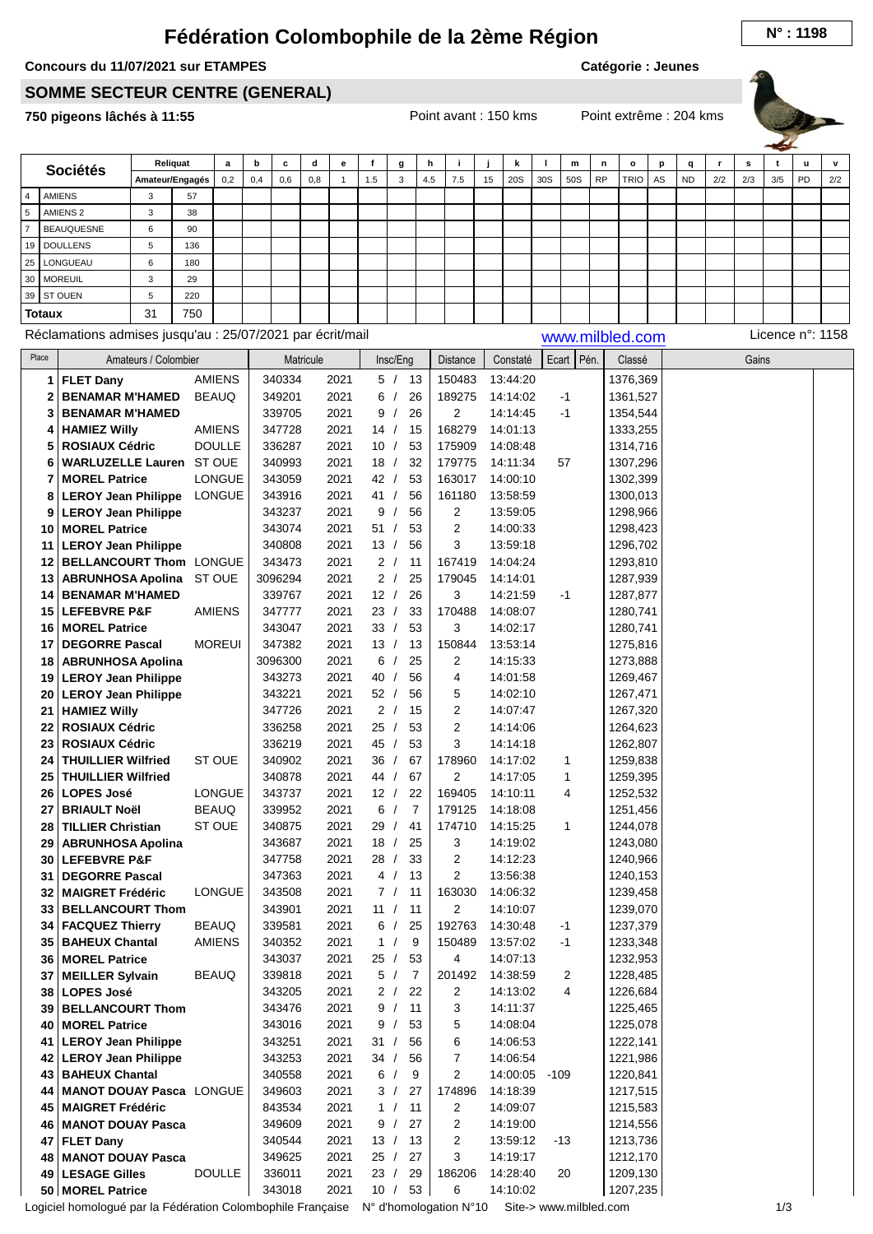## **Fédération Colombophile de la 2ème Région N° : <sup>1198</sup>**

## **Concours du 11/07/2021 sur ETAMPES**

**Catégorie : Jeunes**

## **SOMME SECTEUR CENTRE (GENERAL)**

**750 pigeons lâchés à 11:55** Point avant : 150 kms Point extrême : 204 kms

|                |                  |                                                           |                      | Reliquat        | a             | b   | с       | d         | е            | f   | g                          | h   | i              |    | k        |               | m            | n               | o        | p  | q         | r   | s     | t                | u  | v   |
|----------------|------------------|-----------------------------------------------------------|----------------------|-----------------|---------------|-----|---------|-----------|--------------|-----|----------------------------|-----|----------------|----|----------|---------------|--------------|-----------------|----------|----|-----------|-----|-------|------------------|----|-----|
|                |                  | <b>Sociétés</b>                                           |                      | Amateur/Engagés | 0,2           | 0,4 | 0,6     | 0,8       | $\mathbf{1}$ | 1.5 | 3                          | 4.5 | 7.5            | 15 | 20S      | 30S           | 50S          | <b>RP</b>       | TRIO     | AS | <b>ND</b> | 2/2 | 2/3   | 3/5              | PD | 2/2 |
| $\overline{4}$ |                  | <b>AMIENS</b>                                             | 3                    | 57              |               |     |         |           |              |     |                            |     |                |    |          |               |              |                 |          |    |           |     |       |                  |    |     |
| $\sqrt{5}$     |                  | AMIENS <sub>2</sub>                                       | 3                    | 38              |               |     |         |           |              |     |                            |     |                |    |          |               |              |                 |          |    |           |     |       |                  |    |     |
| $\overline{7}$ |                  | <b>BEAUQUESNE</b>                                         | 6                    | 90              |               |     |         |           |              |     |                            |     |                |    |          |               |              |                 |          |    |           |     |       |                  |    |     |
| 19             |                  | <b>DOULLENS</b>                                           | 5                    | 136             |               |     |         |           |              |     |                            |     |                |    |          |               |              |                 |          |    |           |     |       |                  |    |     |
|                |                  |                                                           |                      |                 |               |     |         |           |              |     |                            |     |                |    |          |               |              |                 |          |    |           |     |       |                  |    |     |
| 25             |                  | LONGUEAU                                                  | 6                    | 180             |               |     |         |           |              |     |                            |     |                |    |          |               |              |                 |          |    |           |     |       |                  |    |     |
| 30             |                  | <b>MOREUIL</b>                                            | 3                    | 29              |               |     |         |           |              |     |                            |     |                |    |          |               |              |                 |          |    |           |     |       |                  |    |     |
| 39             |                  | <b>ST OUEN</b>                                            | 5                    | 220             |               |     |         |           |              |     |                            |     |                |    |          |               |              |                 |          |    |           |     |       |                  |    |     |
|                | <b>Totaux</b>    |                                                           | 31                   | 750             |               |     |         |           |              |     |                            |     |                |    |          |               |              |                 |          |    |           |     |       |                  |    |     |
|                |                  | Réclamations admises jusqu'au : 25/07/2021 par écrit/mail |                      |                 |               |     |         |           |              |     |                            |     |                |    |          |               |              | www.milbled.com |          |    |           |     |       | Licence n°: 1158 |    |     |
| Place          |                  |                                                           |                      |                 |               |     |         |           |              |     |                            |     |                |    |          |               |              |                 |          |    |           |     |       |                  |    |     |
|                |                  |                                                           | Amateurs / Colombier |                 |               |     |         | Matricule |              |     | Insc/Eng                   |     | Distance       |    | Constaté | Ecart         | Pén.         |                 | Classé   |    |           |     | Gains |                  |    |     |
|                | 1                | <b>FLET Dany</b>                                          |                      |                 | <b>AMIENS</b> |     | 340334  |           | 2021         |     | 5/<br>- 13                 |     | 150483         |    | 13:44:20 |               |              |                 | 1376,369 |    |           |     |       |                  |    |     |
|                | $\boldsymbol{2}$ | <b>BENAMAR M'HAMED</b>                                    |                      |                 | <b>BEAUQ</b>  |     | 349201  |           | 2021         | 6   | 26<br>$\prime$             |     | 189275         |    | 14:14:02 |               | -1           |                 | 1361,527 |    |           |     |       |                  |    |     |
|                | 3                | <b>BENAMAR M'HAMED</b>                                    |                      |                 |               |     | 339705  |           | 2021         | 9   | 26<br>$\prime$             |     | 2              |    | 14:14:45 |               | $-1$         |                 | 1354,544 |    |           |     |       |                  |    |     |
|                | 4                | <b>HAMIEZ Willy</b>                                       |                      |                 | <b>AMIENS</b> |     | 347728  |           | 2021         | 14/ | 15                         |     | 168279         |    | 14:01:13 |               |              |                 | 1333,255 |    |           |     |       |                  |    |     |
|                | 5                | <b>ROSIAUX Cédric</b>                                     |                      |                 | <b>DOULLE</b> |     | 336287  |           | 2021         | 10  | 53<br>$\prime$             |     | 175909         |    | 14:08:48 |               |              |                 | 1314,716 |    |           |     |       |                  |    |     |
|                | 6                | <b>WARLUZELLE Lauren</b>                                  |                      |                 | ST OUE        |     | 340993  |           | 2021         | 18/ | 32                         |     | 179775         |    | 14:11:34 |               | 57           |                 | 1307,296 |    |           |     |       |                  |    |     |
|                | 7                | <b>MOREL Patrice</b>                                      |                      |                 | <b>LONGUE</b> |     | 343059  |           | 2021         | 42/ | 53                         |     | 163017         |    | 14:00:10 |               |              |                 | 1302,399 |    |           |     |       |                  |    |     |
|                | 8                | <b>LEROY Jean Philippe</b>                                |                      |                 | <b>LONGUE</b> |     | 343916  |           | 2021         | 41/ | 56                         |     | 161180         |    | 13:58:59 |               |              |                 | 1300,013 |    |           |     |       |                  |    |     |
|                | 9                | <b>LEROY Jean Philippe</b>                                |                      |                 |               |     | 343237  |           | 2021         | 9   | $\sqrt{2}$<br>56           |     | 2              |    | 13:59:05 |               |              |                 | 1298,966 |    |           |     |       |                  |    |     |
|                | 10               | <b>MOREL Patrice</b>                                      |                      |                 |               |     | 343074  |           | 2021         | 51  | $\prime$                   | 53  | $\mathbf 2$    |    | 14:00:33 |               |              |                 | 1298,423 |    |           |     |       |                  |    |     |
|                | 11               | <b>LEROY Jean Philippe</b>                                |                      |                 |               |     | 340808  |           | 2021         | 13/ |                            | 56  | 3              |    | 13:59:18 |               |              |                 | 1296,702 |    |           |     |       |                  |    |     |
|                | 12               | <b>BELLANCOURT Thom LONGUE</b>                            |                      |                 |               |     | 343473  |           | 2021         | 2/  | 11                         |     | 167419         |    | 14:04:24 |               |              |                 | 1293,810 |    |           |     |       |                  |    |     |
|                | 13               | <b>ABRUNHOSA Apolina</b>                                  |                      |                 | ST OUE        |     | 3096294 |           | 2021         | 2/  | 25                         |     | 179045         |    | 14:14:01 |               |              |                 | 1287,939 |    |           |     |       |                  |    |     |
|                | 14               | <b>BENAMAR M'HAMED</b>                                    |                      |                 |               |     | 339767  |           | 2021         | 12/ | 26                         |     | 3              |    | 14:21:59 |               | -1           |                 | 1287,877 |    |           |     |       |                  |    |     |
|                | 15               | <b>LEFEBVRE P&amp;F</b>                                   |                      |                 | <b>AMIENS</b> |     | 347777  |           | 2021         | 23/ |                            | 33  | 170488         |    | 14:08:07 |               |              |                 | 1280,741 |    |           |     |       |                  |    |     |
|                | 16               | <b>MOREL Patrice</b>                                      |                      |                 |               |     | 343047  |           | 2021         | 33/ | 53                         |     | 3              |    | 14:02:17 |               |              |                 | 1280,741 |    |           |     |       |                  |    |     |
|                |                  | <b>DEGORRE Pascal</b>                                     |                      |                 | <b>MOREUI</b> |     | 347382  |           | 2021         | 13/ | 13                         |     | 150844         |    | 13:53:14 |               |              |                 |          |    |           |     |       |                  |    |     |
|                | 17               |                                                           |                      |                 |               |     |         |           |              |     |                            |     |                |    |          |               |              |                 | 1275,816 |    |           |     |       |                  |    |     |
|                | 18               | <b>ABRUNHOSA Apolina</b>                                  |                      |                 |               |     | 3096300 |           | 2021         | 6   | 25                         |     | 2              |    | 14:15:33 |               |              |                 | 1273,888 |    |           |     |       |                  |    |     |
|                | 19               | <b>LEROY Jean Philippe</b>                                |                      |                 |               |     | 343273  |           | 2021         | 40  | 56<br>$\prime$             |     | 4              |    | 14:01:58 |               |              |                 | 1269,467 |    |           |     |       |                  |    |     |
|                | 20               | <b>LEROY Jean Philippe</b>                                |                      |                 |               |     | 343221  |           | 2021         | 52/ |                            | 56  | 5              |    | 14:02:10 |               |              |                 | 1267,471 |    |           |     |       |                  |    |     |
|                | 21               | <b>HAMIEZ Willy</b>                                       |                      |                 |               |     | 347726  |           | 2021         | 2/  | 15                         |     | $\overline{2}$ |    | 14:07:47 |               |              |                 | 1267,320 |    |           |     |       |                  |    |     |
|                | 22               | <b>ROSIAUX Cédric</b>                                     |                      |                 |               |     | 336258  |           | 2021         | 25/ |                            | 53  | $\overline{2}$ |    | 14:14:06 |               |              |                 | 1264,623 |    |           |     |       |                  |    |     |
|                | 23               | <b>ROSIAUX Cédric</b>                                     |                      |                 |               |     | 336219  |           | 2021         | 45  | $\sqrt{ }$                 | 53  | 3              |    | 14:14:18 |               |              |                 | 1262,807 |    |           |     |       |                  |    |     |
|                | 24               | <b>THUILLIER Wilfried</b>                                 |                      |                 | ST OUE        |     | 340902  |           | 2021         | 36  | 67<br>$\sqrt{ }$           |     | 178960         |    | 14:17:02 |               | 1            |                 | 1259,838 |    |           |     |       |                  |    |     |
|                | 25               | <b>THUILLIER Wilfried</b>                                 |                      |                 |               |     | 340878  |           | 2021         | 44  | 67                         |     | $\overline{2}$ |    | 14:17:05 |               | 1            |                 | 1259,395 |    |           |     |       |                  |    |     |
|                | 26               | <b>LOPES José</b>                                         |                      |                 | <b>LONGUE</b> |     | 343737  |           | 2021         | 12/ | 22                         |     | 169405         |    | 14:10:11 |               | 4            |                 | 1252,532 |    |           |     |       |                  |    |     |
|                | 27               | <b>BRIAULT Noël</b>                                       |                      |                 | <b>BEAUQ</b>  |     | 339952  |           | 2021         | 6   | $\overline{7}$<br>$\prime$ |     | 179125         |    | 14:18:08 |               |              |                 | 1251,456 |    |           |     |       |                  |    |     |
|                | 28               | <b>TILLIER Christian</b>                                  |                      |                 | ST OUE        |     | 340875  |           | 2021         | 29  | 41<br>$\sqrt{ }$           |     | 174710         |    | 14:15:25 |               | $\mathbf{1}$ |                 | 1244,078 |    |           |     |       |                  |    |     |
|                | 29               | <b>ABRUNHOSA Apolina</b>                                  |                      |                 |               |     | 343687  |           | 2021         | 18  | 25<br>$\sqrt{ }$           |     | 3              |    | 14:19:02 |               |              |                 | 1243,080 |    |           |     |       |                  |    |     |
|                | 30               | <b>LEFEBVRE P&amp;F</b>                                   |                      |                 |               |     | 347758  |           | 2021         | 28/ | 33                         |     | 2              |    | 14:12:23 |               |              |                 | 1240,966 |    |           |     |       |                  |    |     |
|                | 31               | <b>DEGORRE Pascal</b>                                     |                      |                 |               |     | 347363  |           | 2021         |     | 4/<br>13                   |     | 2              |    | 13:56:38 |               |              |                 | 1240,153 |    |           |     |       |                  |    |     |
|                | 32               | <b>MAIGRET Frédéric</b>                                   |                      |                 | <b>LONGUE</b> |     | 343508  |           | 2021         | 7/  | 11                         |     | 163030         |    | 14:06:32 |               |              |                 | 1239,458 |    |           |     |       |                  |    |     |
|                | 33               | <b>BELLANCOURT Thom</b>                                   |                      |                 |               |     | 343901  |           | 2021         | 11/ | 11                         |     | 2              |    | 14:10:07 |               |              |                 | 1239,070 |    |           |     |       |                  |    |     |
|                | 34               | <b>FACQUEZ Thierry</b>                                    |                      |                 | <b>BEAUQ</b>  |     | 339581  |           | 2021         | 6   | 25<br>$\sqrt{ }$           |     | 192763         |    | 14:30:48 |               | $-1$         |                 | 1237,379 |    |           |     |       |                  |    |     |
|                |                  | 35   BAHEUX Chantal                                       |                      |                 | AMIENS        |     | 340352  |           | 2021         | 1/  |                            | 9   | 150489         |    | 13:57:02 |               | $-1$         |                 | 1233,348 |    |           |     |       |                  |    |     |
|                | 36               | <b>MOREL Patrice</b>                                      |                      |                 |               |     | 343037  |           | 2021         | 25/ |                            | 53  | 4              |    | 14:07:13 |               |              |                 | 1232,953 |    |           |     |       |                  |    |     |
|                | 37               | <b>MEILLER Sylvain</b>                                    |                      |                 | <b>BEAUQ</b>  |     | 339818  |           | 2021         |     | 5/<br>7                    |     | 201492         |    | 14:38:59 |               | 2            |                 | 1228,485 |    |           |     |       |                  |    |     |
|                | 38               | <b>LOPES José</b>                                         |                      |                 |               |     | 343205  |           | 2021         | 2/  | 22                         |     | 2              |    | 14:13:02 |               | 4            |                 | 1226,684 |    |           |     |       |                  |    |     |
|                | 39               | <b>BELLANCOURT Thom</b>                                   |                      |                 |               |     | 343476  |           | 2021         | 9/  |                            | 11  | 3              |    | 14:11:37 |               |              |                 | 1225,465 |    |           |     |       |                  |    |     |
|                | 40               | <b>MOREL Patrice</b>                                      |                      |                 |               |     | 343016  |           | 2021         | 9   | $\prime$                   | 53  | 5              |    | 14:08:04 |               |              |                 | 1225,078 |    |           |     |       |                  |    |     |
|                | 41               | <b>LEROY Jean Philippe</b>                                |                      |                 |               |     | 343251  |           | 2021         | 31/ | 56                         |     | 6              |    | 14:06:53 |               |              |                 | 1222,141 |    |           |     |       |                  |    |     |
|                | 42               | <b>LEROY Jean Philippe</b>                                |                      |                 |               |     | 343253  |           | 2021         | 34/ |                            | 56  | 7              |    | 14:06:54 |               |              |                 | 1221,986 |    |           |     |       |                  |    |     |
|                | 43               | <b>BAHEUX Chantal</b>                                     |                      |                 |               |     | 340558  |           | 2021         | 6/  |                            | 9   | 2              |    |          | 14:00:05 -109 |              |                 | 1220,841 |    |           |     |       |                  |    |     |
|                | 44               | <b>MANOT DOUAY Pasca LONGUE</b>                           |                      |                 |               |     | 349603  |           | 2021         | 3/  |                            | 27  | 174896         |    | 14:18:39 |               |              |                 | 1217,515 |    |           |     |       |                  |    |     |
|                | 45               | <b>MAIGRET Frédéric</b>                                   |                      |                 |               |     | 843534  |           | 2021         | 1/  |                            | 11  | 2              |    | 14:09:07 |               |              |                 | 1215,583 |    |           |     |       |                  |    |     |
|                | 46               | <b>MANOT DOUAY Pasca</b>                                  |                      |                 |               |     | 349609  |           | 2021         | 9   | 27<br>$\prime$             |     | 2              |    | 14:19:00 |               |              |                 | 1214,556 |    |           |     |       |                  |    |     |
|                | 47               | <b>FLET Dany</b>                                          |                      |                 |               |     | 340544  |           | 2021         | 13/ | 13                         |     | 2              |    | 13:59:12 |               | -13          |                 | 1213,736 |    |           |     |       |                  |    |     |
|                | 48               | <b>MANOT DOUAY Pasca</b>                                  |                      |                 |               |     | 349625  |           | 2021         | 25/ | 27                         |     | 3              |    | 14:19:17 |               |              |                 | 1212,170 |    |           |     |       |                  |    |     |
|                |                  | 49   LESAGE Gilles                                        |                      |                 | <b>DOULLE</b> |     | 336011  |           | 2021         | 23/ |                            | 29  | 186206         |    | 14:28:40 |               | 20           |                 | 1209,130 |    |           |     |       |                  |    |     |
|                |                  |                                                           |                      |                 |               |     |         |           |              |     |                            |     |                |    |          |               |              |                 |          |    |           |     |       |                  |    |     |

Logiciel homologué par la Fédération Colombophile Française N° d'homologation N°10 Site-> www.milbled.com 1/3

 $|343018$ 

2021

10 / 53

6

14:10:02

**MOREL Patrice 50**

 $|1207,235|$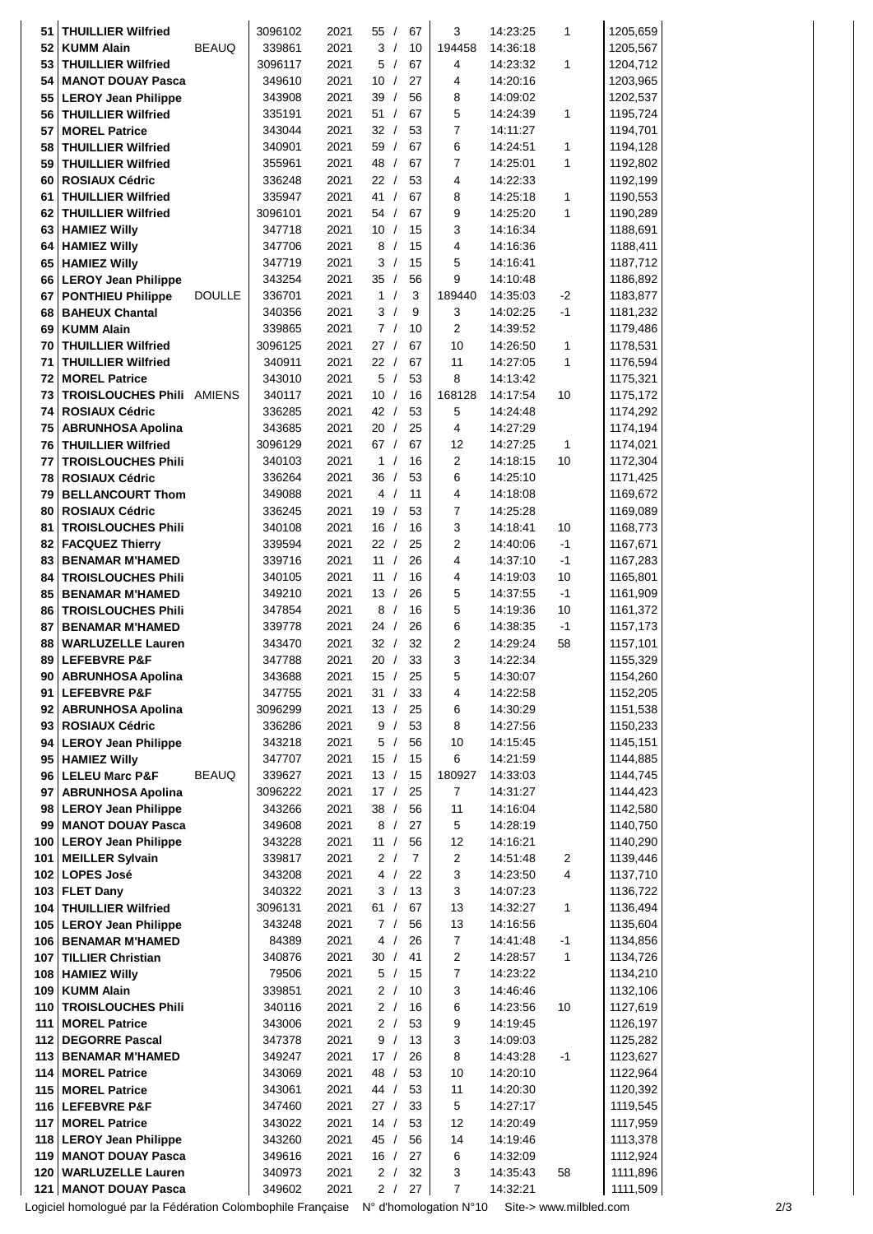| 51          | <b>THUILLIER Wilfried</b>                          |               | 3096102          | 2021         | 55/        | 67       | 3                       | 14:23:25             | 1            | 1205,659             |
|-------------|----------------------------------------------------|---------------|------------------|--------------|------------|----------|-------------------------|----------------------|--------------|----------------------|
| 52          | <b>KUMM Alain</b>                                  | <b>BEAUQ</b>  | 339861           | 2021         | 3/         | 10       | 194458                  | 14:36:18             |              | 1205,567             |
| 53          | <b>THUILLIER Wilfried</b>                          |               | 3096117          | 2021         | 5/         | 67       | 4                       | 14:23:32             | 1            | 1204,712             |
| 54          | <b>MANOT DOUAY Pasca</b>                           |               | 349610           | 2021         | 10/        | 27       | 4                       | 14:20:16             |              | 1203,965             |
|             | 55   LEROY Jean Philippe                           |               | 343908           | 2021         | 39/        | 56       | 8                       | 14:09:02             |              | 1202,537             |
| 56          | <b>THUILLIER Wilfried</b>                          |               | 335191           | 2021         | 51/        | 67       | 5                       | 14:24:39             | 1            | 1195,724             |
| 57          | <b>MOREL Patrice</b>                               |               | 343044           | 2021         | 32/        | 53       | $\overline{7}$          | 14:11:27             |              | 1194,701             |
| 58          | <b>THUILLIER Wilfried</b>                          |               | 340901           | 2021         | 59/        | 67       | 6                       | 14:24:51             | 1            | 1194,128             |
| 59          | <b>THUILLIER Wilfried</b>                          |               | 355961           | 2021         | 48 /       | 67       | $\overline{7}$          | 14:25:01             | 1            | 1192,802             |
| 60          | <b>ROSIAUX Cédric</b>                              |               | 336248           | 2021         | 22/        | 53       | $\overline{\mathbf{4}}$ | 14:22:33             |              | 1192,199             |
| 61          | <b>THUILLIER Wilfried</b>                          |               | 335947           | 2021         | 41/        | 67       | 8                       | 14:25:18             | 1            | 1190,553             |
| 62          | <b>THUILLIER Wilfried</b>                          |               | 3096101          | 2021         | 54/        | 67       | 9                       | 14:25:20             | 1            | 1190,289             |
| 63          | <b>HAMIEZ Willy</b>                                |               | 347718           | 2021         | 10/        | 15       | 3                       | 14:16:34             |              | 1188,691             |
| 64          | <b>HAMIEZ Willy</b>                                |               | 347706           | 2021         | 8/         | 15       | 4                       | 14:16:36             |              | 1188,411             |
| 65          | <b>HAMIEZ Willy</b>                                |               | 347719           | 2021         | 3/         | 15       | 5                       | 14:16:41             |              | 1187,712             |
| 66          | <b>LEROY Jean Philippe</b>                         | <b>DOULLE</b> | 343254           | 2021<br>2021 | 35/<br>1/  | 56<br>3  | 9<br>189440             | 14:10:48             |              | 1186,892             |
| 67<br>68    | <b>PONTHIEU Philippe</b><br><b>BAHEUX Chantal</b>  |               | 336701<br>340356 | 2021         | 3/         | 9        | 3                       | 14:35:03<br>14:02:25 | $-2$<br>$-1$ | 1183,877<br>1181,232 |
| 69          | <b>KUMM Alain</b>                                  |               | 339865           | 2021         | 7/         | 10       | 2                       | 14:39:52             |              | 1179,486             |
| 70          | <b>THUILLIER Wilfried</b>                          |               | 3096125          | 2021         | 27/        | 67       | 10                      | 14:26:50             | 1            | 1178,531             |
| 71          | <b>THUILLIER Wilfried</b>                          |               | 340911           | 2021         | 22/        | 67       | 11                      | 14:27:05             | 1            | 1176,594             |
| 72          | <b>MOREL Patrice</b>                               |               | 343010           | 2021         | 5/         | 53       | 8                       | 14:13:42             |              | 1175,321             |
| 73          | <b>TROISLOUCHES Phili AMIENS</b>                   |               | 340117           | 2021         | 10/        | 16       | 168128                  | 14:17:54             | 10           | 1175,172             |
| 74          | <b>ROSIAUX Cédric</b>                              |               | 336285           | 2021         | 42/        | 53       | 5                       | 14:24:48             |              | 1174,292             |
| 75          | <b>ABRUNHOSA Apolina</b>                           |               | 343685           | 2021         | 20/        | 25       | $\overline{4}$          | 14:27:29             |              | 1174,194             |
| 76          | <b>THUILLIER Wilfried</b>                          |               | 3096129          | 2021         | 67/        | 67       | 12                      | 14:27:25             | 1            | 1174,021             |
| 77          | <b>TROISLOUCHES Phili</b>                          |               | 340103           | 2021         | 1/         | 16       | $\overline{2}$          | 14:18:15             | 10           | 1172,304             |
| 78          | <b>ROSIAUX Cédric</b>                              |               | 336264           | 2021         | 36/        | 53       | 6                       | 14:25:10             |              | 1171,425             |
| 79          | <b>BELLANCOURT Thom</b>                            |               | 349088           | 2021         | 4/         | 11       | 4                       | 14:18:08             |              | 1169,672             |
| 80          | <b>ROSIAUX Cédric</b>                              |               | 336245           | 2021         | 19/        | 53       | $\overline{7}$          | 14:25:28             |              | 1169,089             |
| 81          | <b>TROISLOUCHES Phili</b>                          |               | 340108           | 2021         | 16/        | 16       | 3                       | 14:18:41             | 10           | 1168,773             |
| 82          | <b>FACQUEZ Thierry</b>                             |               | 339594           | 2021         | 22/        | 25       | $\overline{2}$          | 14:40:06             | $-1$         | 1167,671             |
| 83          | <b>BENAMAR M'HAMED</b>                             |               | 339716           | 2021         | 11 /       | 26       | 4                       | 14:37:10             | $-1$         | 1167,283             |
| 84          | <b>TROISLOUCHES Phili</b>                          |               | 340105           | 2021         | 11 /       | 16       | 4                       | 14:19:03             | 10           | 1165,801             |
| 85          | <b>BENAMAR M'HAMED</b>                             |               | 349210           | 2021         | 13/        | 26       | 5                       | 14:37:55             | $-1$         | 1161,909             |
| 86          | <b>TROISLOUCHES Phili</b>                          |               | 347854           | 2021         | 8/         | 16       | 5                       | 14:19:36             | 10           | 1161,372             |
| 87          | <b>BENAMAR M'HAMED</b>                             |               | 339778           | 2021         | 24/        | 26       | 6                       | 14:38:35             | $-1$         | 1157,173             |
| 88          | <b>WARLUZELLE Lauren</b>                           |               | 343470           | 2021         | 32/        | 32       | 2                       | 14:29:24             | 58           | 1157,101             |
| 89          | <b>LEFEBVRE P&amp;F</b>                            |               | 347788           | 2021         | 20/        | 33       | 3                       | 14:22:34             |              | 1155,329             |
|             | 90 ABRUNHOSA Apolina                               |               | 343688           | 2021         | 15/        | 25       | 5                       | 14:30:07             |              | 1154,260             |
|             | 91 LEFEBVRE P&F                                    |               | 347755           | 2021         | 31/        | 33       | 4                       | 14:22:58             |              | 1152,205             |
|             | 92 ABRUNHOSA Apolina                               |               | 3096299          | 2021         | 13/        | 25       | 6                       | 14:30:29             |              | 1151,538             |
| 93          | <b>ROSIAUX Cédric</b>                              |               | 336286           | 2021         | 9/         | 53       | 8                       | 14:27:56             |              | 1150,233             |
| 94          | <b>LEROY Jean Philippe</b><br><b>HAMIEZ Willy</b>  |               | 343218<br>347707 | 2021<br>2021 | 5/<br>15/  | 56<br>15 | 10<br>6                 | 14:15:45<br>14:21:59 |              | 1145,151<br>1144,885 |
| 95          | 96 LELEU Marc P&F                                  | <b>BEAUQ</b>  | 339627           | 2021         | 13/        | 15       | 180927                  | 14:33:03             |              | 1144,745             |
|             | 97 ABRUNHOSA Apolina                               |               | 3096222          | 2021         | 17/        | 25       | 7                       | 14:31:27             |              | 1144,423             |
|             | 98 LEROY Jean Philippe                             |               | 343266           | 2021         | 38/        | 56       | 11                      | 14:16:04             |              | 1142,580             |
|             | 99   MANOT DOUAY Pasca                             |               | 349608           | 2021         | 8/         | 27       | 5                       | 14:28:19             |              | 1140,750             |
|             | 100   LEROY Jean Philippe                          |               | 343228           | 2021         | 11 /       | 56       | 12                      | 14:16:21             |              | 1140,290             |
| $101 \mid$  | <b>MEILLER Sylvain</b>                             |               | 339817           | 2021         | 2/         | 7        | $\overline{c}$          | 14:51:48             | 2            | 1139,446             |
| 102         | <b>LOPES José</b>                                  |               | 343208           | 2021         | 4 /        | 22       | 3                       | 14:23:50             | 4            | 1137,710             |
| 103         | <b>FLET Dany</b>                                   |               | 340322           | 2021         | 3/         | 13       | 3                       | 14:07:23             |              | 1136,722             |
| 104         | <b>THUILLIER Wilfried</b>                          |               | 3096131          | 2021         | 61/        | 67       | 13                      | 14:32:27             | 1            | 1136,494             |
| 105         | <b>LEROY Jean Philippe</b>                         |               | 343248           | 2021         | 7/         | 56       | 13                      | 14:16:56             |              | 1135,604             |
| 106         | <b>BENAMAR M'HAMED</b>                             |               | 84389            | 2021         | 4 /        | 26       | $\overline{7}$          | 14:41:48             | $-1$         | 1134,856             |
|             | 107   TILLIER Christian                            |               | 340876           | 2021         | 30/        | 41       | $\overline{c}$          | 14:28:57             | 1            | 1134,726             |
| 108         | <b>HAMIEZ Willy</b>                                |               | 79506            | 2021         | 5/         | 15       | $\boldsymbol{7}$        | 14:23:22             |              | 1134,210             |
| 109         | <b>KUMM Alain</b>                                  |               | 339851           | 2021         | 2/         | 10       | 3                       | 14:46:46             |              | 1132,106             |
| 110         | <b>TROISLOUCHES Phili</b>                          |               | 340116           | 2021         | 2/         | 16       | 6                       | 14:23:56             | 10           | 1127,619             |
| 111         | <b>MOREL Patrice</b>                               |               | 343006           | 2021         | 2/         | 53       | 9                       | 14:19:45             |              | 1126,197             |
| 112         | <b>DEGORRE Pascal</b>                              |               | 347378           | 2021         | 9 /        | 13       | 3                       | 14:09:03             |              | 1125,282             |
| 113         | <b>BENAMAR M'HAMED</b>                             |               | 349247           | 2021         | 17/        | 26       | 8                       | 14:43:28             | $-1$         | 1123,627             |
| 114         | <b>MOREL Patrice</b>                               |               | 343069           | 2021         | 48 /       | 53       | 10                      | 14:20:10             |              | 1122,964             |
| 115         | <b>MOREL Patrice</b>                               |               | 343061           | 2021         | 44 /       | 53       | 11                      | 14:20:30             |              | 1120,392             |
|             | 116 LEFEBVRE P&F                                   |               | 347460           | 2021         | 27/        | 33       | 5                       | 14:27:17             |              | 1119,545             |
| 117 <br>118 | <b>MOREL Patrice</b><br><b>LEROY Jean Philippe</b> |               | 343022<br>343260 | 2021<br>2021 | 14/<br>45/ | 53<br>56 | 12<br>14                | 14:20:49<br>14:19:46 |              | 1117,959             |
| 119         | <b>MANOT DOUAY Pasca</b>                           |               | 349616           | 2021         | 16/        | 27       | 6                       | 14:32:09             |              | 1113,378<br>1112,924 |
| 120         | <b>WARLUZELLE Lauren</b>                           |               | 340973           | 2021         | 2/         | 32       | 3                       | 14:35:43             | 58           | 1111,896             |
| 121         | <b>MANOT DOUAY Pasca</b>                           |               | 349602           | 2021         | 2/         | 27       | 7                       | 14:32:21             |              | 1111,509             |
|             |                                                    |               |                  |              |            |          |                         |                      |              |                      |

Logiciel homologué par la Fédération Colombophile Française N° d'homologation N°10 Site-> www.milbled.com 2/3